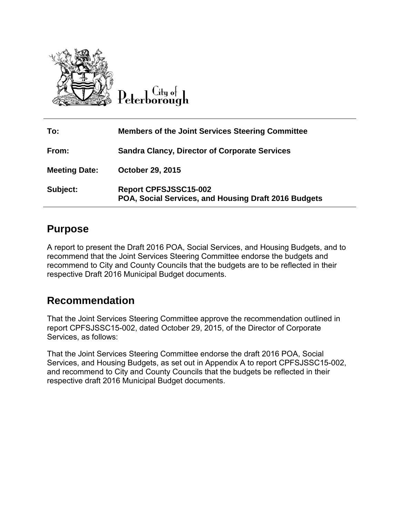

City of Peterborough

| To:                  | <b>Members of the Joint Services Steering Committee</b>                              |
|----------------------|--------------------------------------------------------------------------------------|
| From:                | <b>Sandra Clancy, Director of Corporate Services</b>                                 |
| <b>Meeting Date:</b> | <b>October 29, 2015</b>                                                              |
| Subject:             | <b>Report CPFSJSSC15-002</b><br>POA, Social Services, and Housing Draft 2016 Budgets |

## **Purpose**

A report to present the Draft 2016 POA, Social Services, and Housing Budgets, and to recommend that the Joint Services Steering Committee endorse the budgets and recommend to City and County Councils that the budgets are to be reflected in their respective Draft 2016 Municipal Budget documents.

## **Recommendation**

That the Joint Services Steering Committee approve the recommendation outlined in report CPFSJSSC15-002, dated October 29, 2015, of the Director of Corporate Services, as follows:

That the Joint Services Steering Committee endorse the draft 2016 POA, Social Services, and Housing Budgets, as set out in Appendix A to report CPFSJSSC15-002, and recommend to City and County Councils that the budgets be reflected in their respective draft 2016 Municipal Budget documents.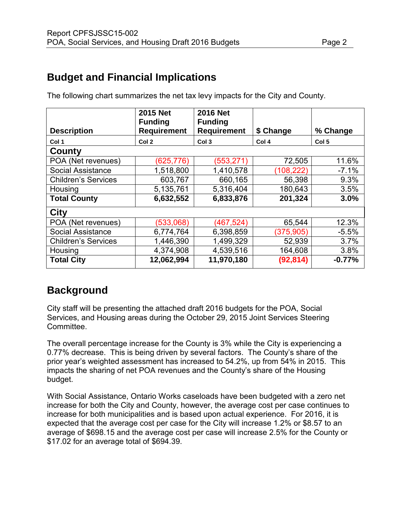## **Budget and Financial Implications**

| <b>Description</b>         | <b>2015 Net</b><br><b>Funding</b><br><b>Requirement</b> | <b>2016 Net</b><br><b>Funding</b><br><b>Requirement</b> | \$ Change  | % Change         |
|----------------------------|---------------------------------------------------------|---------------------------------------------------------|------------|------------------|
| Col 1                      | Col 2                                                   | Col <sub>3</sub>                                        | Col 4      | Col <sub>5</sub> |
| County                     |                                                         |                                                         |            |                  |
| POA (Net revenues)         | (625, 776)                                              | (553, 271)                                              | 72,505     | 11.6%            |
| <b>Social Assistance</b>   | 1,518,800                                               | 1,410,578                                               | (108, 222) | $-7.1%$          |
| <b>Children's Services</b> | 603,767                                                 | 660,165                                                 | 56,398     | 9.3%             |
| Housing                    | 5,135,761                                               | 5,316,404                                               | 180,643    | 3.5%             |
| <b>Total County</b>        | 6,632,552                                               | 6,833,876                                               | 201,324    | 3.0%             |
| <b>City</b>                |                                                         |                                                         |            |                  |
| POA (Net revenues)         | (533,068)                                               | (467, 524)                                              | 65,544     | 12.3%            |
| <b>Social Assistance</b>   | 6,774,764                                               | 6,398,859                                               | (375, 905) | $-5.5%$          |
| <b>Children's Services</b> | 1,446,390                                               | 1,499,329                                               | 52,939     | 3.7%             |
| Housing                    | 4,374,908                                               | 4,539,516                                               | 164,608    | 3.8%             |
| <b>Total City</b>          | 12,062,994                                              | 11,970,180                                              | (92, 814)  | $-0.77%$         |

The following chart summarizes the net tax levy impacts for the City and County.

## **Background**

City staff will be presenting the attached draft 2016 budgets for the POA, Social Services, and Housing areas during the October 29, 2015 Joint Services Steering Committee.

The overall percentage increase for the County is 3% while the City is experiencing a 0.77% decrease. This is being driven by several factors. The County's share of the prior year's weighted assessment has increased to 54.2%, up from 54% in 2015. This impacts the sharing of net POA revenues and the County's share of the Housing budget.

With Social Assistance, Ontario Works caseloads have been budgeted with a zero net increase for both the City and County, however, the average cost per case continues to increase for both municipalities and is based upon actual experience. For 2016, it is expected that the average cost per case for the City will increase 1.2% or \$8.57 to an average of \$698.15 and the average cost per case will increase 2.5% for the County or \$17.02 for an average total of \$694.39.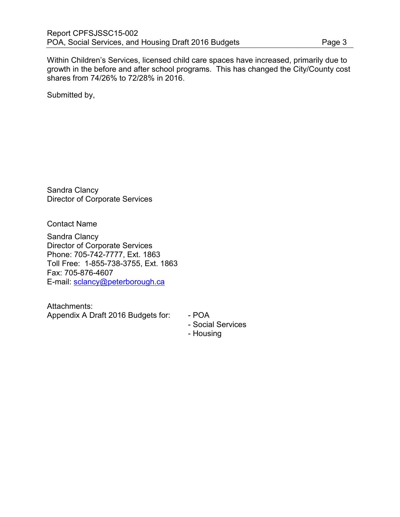Within Children's Services, licensed child care spaces have increased, primarily due to growth in the before and after school programs. This has changed the City/County cost shares from 74/26% to 72/28% in 2016.

Submitted by,

Sandra Clancy Director of Corporate Services

Contact Name

Sandra Clancy Director of Corporate Services Phone: 705-742-7777, Ext. 1863 Toll Free: 1-855-738-3755, Ext. 1863 Fax: 705-876-4607 E-mail: [sclancy@peterborough.ca](mailto:sclancy@peterborough.ca)

Attachments: Appendix A Draft 2016 Budgets for: - POA

- Social Services
- Housing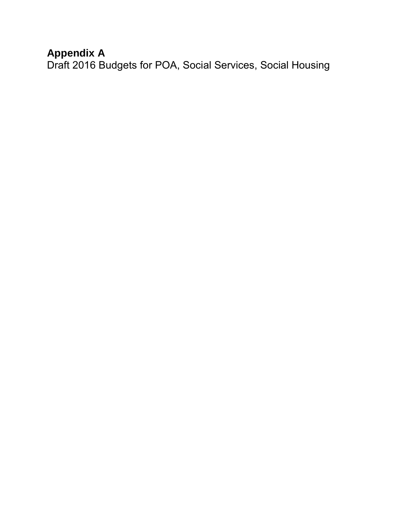## **Appendix A**

Draft 2016 Budgets for POA, Social Services, Social Housing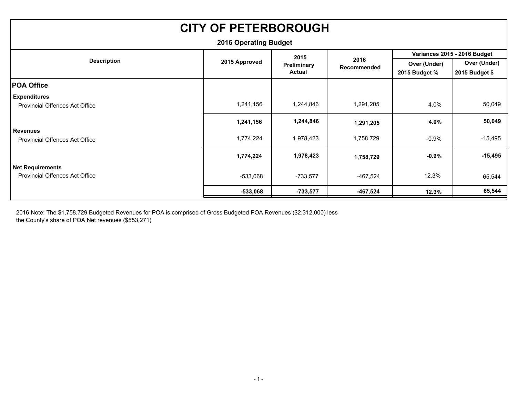| <b>CITY OF PETERBOROUGH</b>           |                              |               |                     |               |                              |  |
|---------------------------------------|------------------------------|---------------|---------------------|---------------|------------------------------|--|
|                                       | <b>2016 Operating Budget</b> |               |                     |               |                              |  |
|                                       |                              | 2015          |                     |               | Variances 2015 - 2016 Budget |  |
| <b>Description</b>                    | 2015 Approved                | Preliminary   | 2016<br>Recommended | Over (Under)  | Over (Under)                 |  |
|                                       |                              | <b>Actual</b> |                     | 2015 Budget % | 2015 Budget \$               |  |
| <b>POA Office</b>                     |                              |               |                     |               |                              |  |
| <b>Expenditures</b>                   |                              |               |                     |               |                              |  |
| Provincial Offences Act Office        | 1,241,156                    | 1,244,846     | 1,291,205           | 4.0%          | 50,049                       |  |
|                                       | 1,241,156                    | 1,244,846     | 1,291,205           | 4.0%          | 50,049                       |  |
| <b>Revenues</b>                       |                              |               |                     |               |                              |  |
| Provincial Offences Act Office        | 1,774,224                    | 1,978,423     | 1,758,729           | $-0.9\%$      | $-15,495$                    |  |
|                                       | 1,774,224                    | 1,978,423     | 1,758,729           | $-0.9%$       | $-15,495$                    |  |
| <b>Net Requirements</b>               |                              |               |                     |               |                              |  |
| <b>Provincial Offences Act Office</b> | $-533,068$                   | -733,577      | -467,524            | 12.3%         | 65,544                       |  |
|                                       | $-533,068$                   | $-733,577$    | -467,524            | 12.3%         | 65,544                       |  |

2016 Note: The \$1,758,729 Budgeted Revenues for POA is comprised of Gross Budgeted POA Revenues (\$2,312,000) less the County's share of POA Net revenues (\$553,271)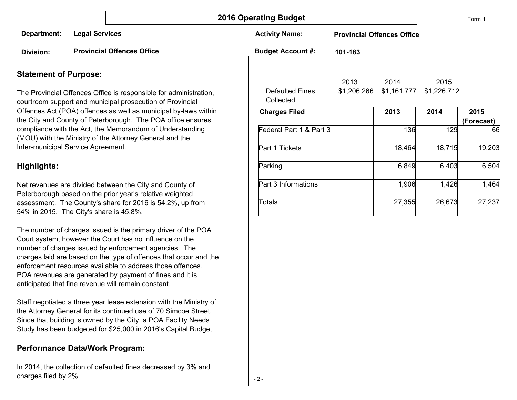## **2016 Operating Budget**

Form 1

| Department:                  | <b>Legal Services</b>                                                                                                          | <b>Activity Name:</b>               |             | <b>Provincial Offences Office</b> |             |                    |
|------------------------------|--------------------------------------------------------------------------------------------------------------------------------|-------------------------------------|-------------|-----------------------------------|-------------|--------------------|
| <b>Division:</b>             | <b>Provincial Offences Office</b>                                                                                              | <b>Budget Account #:</b>            | 101-183     |                                   |             |                    |
| <b>Statement of Purpose:</b> |                                                                                                                                |                                     | 2013        | 2014                              | 2015        |                    |
|                              | The Provincial Offences Office is responsible for administration,<br>courtroom support and municipal prosecution of Provincial | <b>Defaulted Fines</b><br>Collected | \$1,206,266 | \$1,161,777                       | \$1,226,712 |                    |
|                              | Offences Act (POA) offences as well as municipal by-laws within<br>the City and County of Peterborough. The POA office ensures | <b>Charges Filed</b>                |             | 2013                              | 2014        | 2015<br>(Forecast) |
|                              | compliance with the Act, the Memorandum of Understanding<br>(MOU) with the Ministry of the Attorney General and the            | Federal Part 1 & Part 3             |             | 136                               | 129         | 66                 |
|                              | Inter-municipal Service Agreement.                                                                                             | Part 1 Tickets                      |             | 18,464                            | 18,715      | 19,203             |
| Highlights:                  |                                                                                                                                | Parking                             |             | 6,849                             | 6,403       | 6,504              |
|                              | Net revenues are divided between the City and County of<br>Peterborough based on the prior year's relative weighted            | Part 3 Informations                 |             | 1,906                             | 1,426       | 1,464              |
|                              | assessment. The County's share for 2016 is 54.2%, up from<br>54% in 2015. The City's share is 45.8%.                           | Totals                              |             | 27,355                            | 26,673      | 27,237             |
|                              |                                                                                                                                |                                     |             |                                   |             |                    |

The number of charges issued is the primary driver of the POA Court system, however the Court has no influence on the number of charges issued by enforcement agencies. The charges laid are based on the type of offences that occur and the enforcement resources available to address those offences. POA revenues are generated by payment of fines and it is anticipated that fine revenue will remain constant.

Staff negotiated a three year lease extension with the Ministry of the Attorney General for its continued use of 70 Simcoe Street. Since that building is owned by the City, a POA Facility Needs Study has been budgeted for \$25,000 in 2016's Capital Budget.

### **Performance Data/Work Program:**

In 2014, the collection of defaulted fines decreased by 3% and charges filed by 2%.

- 2 -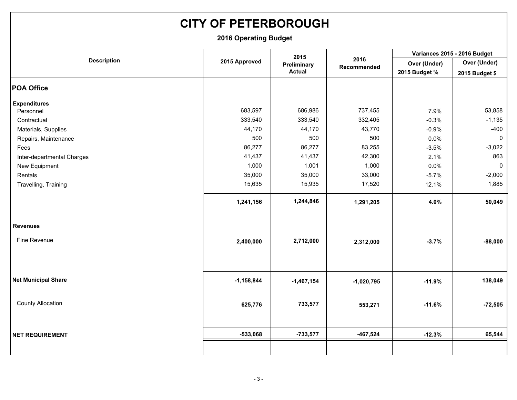**2016 Operating Budget**

|                            |               | 2015          |                     | Variances 2015 - 2016 Budget |                |  |
|----------------------------|---------------|---------------|---------------------|------------------------------|----------------|--|
| <b>Description</b>         | 2015 Approved | Preliminary   | 2016<br>Recommended | Over (Under)                 | Over (Under)   |  |
|                            |               | <b>Actual</b> |                     | 2015 Budget %                | 2015 Budget \$ |  |
| <b>POA Office</b>          |               |               |                     |                              |                |  |
| <b>Expenditures</b>        |               |               |                     |                              |                |  |
| Personnel                  | 683,597       | 686,986       | 737,455             | 7.9%                         | 53,858         |  |
| Contractual                | 333,540       | 333,540       | 332,405             | $-0.3%$                      | $-1,135$       |  |
| Materials, Supplies        | 44,170        | 44,170        | 43,770              | $-0.9%$                      | $-400$         |  |
| Repairs, Maintenance       | 500           | 500           | 500                 | 0.0%                         | $\mathbf 0$    |  |
| Fees                       | 86,277        | 86,277        | 83,255              | $-3.5%$                      | $-3,022$       |  |
| Inter-departmental Charges | 41,437        | 41,437        | 42,300              | 2.1%                         | 863            |  |
| New Equipment              | 1,000         | 1,001         | 1,000               | $0.0\%$                      | $\mathbf 0$    |  |
| Rentals                    | 35,000        | 35,000        | 33,000              | $-5.7%$                      | $-2,000$       |  |
| Travelling, Training       | 15,635        | 15,935        | 17,520              | 12.1%                        | 1,885          |  |
|                            | 1,241,156     | 1,244,846     | 1,291,205           | 4.0%                         | 50,049         |  |
| <b>Revenues</b>            |               |               |                     |                              |                |  |
| Fine Revenue               | 2,400,000     | 2,712,000     | 2,312,000           | $-3.7%$                      | $-88,000$      |  |
|                            |               |               |                     |                              |                |  |
| <b>Net Municipal Share</b> | $-1,158,844$  | $-1,467,154$  | $-1,020,795$        | $-11.9%$                     | 138,049        |  |
| <b>County Allocation</b>   | 625,776       | 733,577       | 553,271             | $-11.6%$                     | $-72,505$      |  |
| <b>NET REQUIREMENT</b>     | $-533,068$    | $-733,577$    | $-467,524$          | $-12.3%$                     | 65,544         |  |
|                            |               |               |                     |                              |                |  |
|                            |               |               |                     |                              |                |  |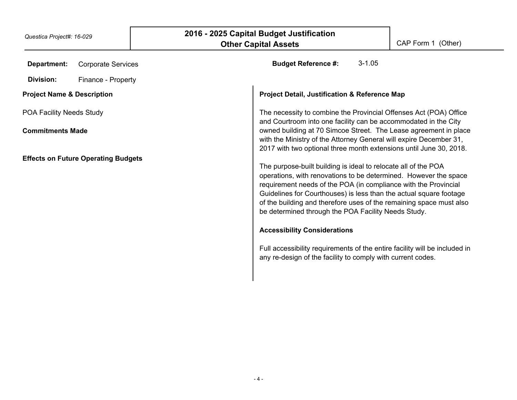| Department:                                         | <b>Corporate Services</b>                  | $3 - 1.05$<br><b>Budget Reference #:</b>                                                                                                                                                                                                                                                                                                                                                                                                                                                                                                                                                      |
|-----------------------------------------------------|--------------------------------------------|-----------------------------------------------------------------------------------------------------------------------------------------------------------------------------------------------------------------------------------------------------------------------------------------------------------------------------------------------------------------------------------------------------------------------------------------------------------------------------------------------------------------------------------------------------------------------------------------------|
| Division:                                           | Finance - Property                         |                                                                                                                                                                                                                                                                                                                                                                                                                                                                                                                                                                                               |
| <b>Project Name &amp; Description</b>               |                                            | <b>Project Detail, Justification &amp; Reference Map</b>                                                                                                                                                                                                                                                                                                                                                                                                                                                                                                                                      |
| POA Facility Needs Study<br><b>Commitments Made</b> |                                            | The necessity to combine the Provincial Offenses Act (POA) Office<br>and Courtroom into one facility can be accommodated in the City<br>owned building at 70 Simcoe Street. The Lease agreement in place<br>with the Ministry of the Attorney General will expire December 31,<br>2017 with two optional three month extensions until June 30, 2018.                                                                                                                                                                                                                                          |
|                                                     | <b>Effects on Future Operating Budgets</b> | The purpose-built building is ideal to relocate all of the POA<br>operations, with renovations to be determined. However the space<br>requirement needs of the POA (in compliance with the Provincial<br>Guidelines for Courthouses) is less than the actual square footage<br>of the building and therefore uses of the remaining space must also<br>be determined through the POA Facility Needs Study.<br><b>Accessibility Considerations</b><br>Full accessibility requirements of the entire facility will be included in<br>any re-design of the facility to comply with current codes. |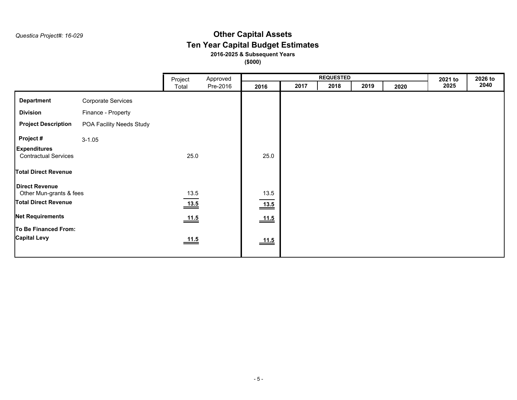## **Other Capital Assets Ten Year Capital Budget Estimates 2016-2025 & Subsequent Years**

|                                                                          |                          | Project                          | Approved |      | <b>REQUESTED</b> |      |      |      | 2021 to | 2026 to |
|--------------------------------------------------------------------------|--------------------------|----------------------------------|----------|------|------------------|------|------|------|---------|---------|
|                                                                          |                          | Total                            | Pre-2016 | 2016 | 2017             | 2018 | 2019 | 2020 | 2025    | 2040    |
| <b>Department</b>                                                        | Corporate Services       |                                  |          |      |                  |      |      |      |         |         |
| <b>Division</b>                                                          | Finance - Property       |                                  |          |      |                  |      |      |      |         |         |
| <b>Project Description</b>                                               | POA Facility Needs Study |                                  |          |      |                  |      |      |      |         |         |
| Project #                                                                | $3 - 1.05$               |                                  |          |      |                  |      |      |      |         |         |
| <b>Expenditures</b><br><b>Contractual Services</b>                       |                          | 25.0                             |          | 25.0 |                  |      |      |      |         |         |
| <b>Total Direct Revenue</b>                                              |                          |                                  |          |      |                  |      |      |      |         |         |
| Direct Revenue<br>Other Mun-grants & fees<br><b>Total Direct Revenue</b> |                          | 13.5<br>13.5                     |          | 13.5 |                  |      |      |      |         |         |
| <b>Net Requirements</b>                                                  |                          |                                  |          | 13.5 |                  |      |      |      |         |         |
| To Be Financed From:                                                     |                          | 11.5                             |          | 11.5 |                  |      |      |      |         |         |
| <b>Capital Levy</b>                                                      |                          | $\underline{\hspace{1.5mm}11.5}$ |          | 11.5 |                  |      |      |      |         |         |
|                                                                          |                          |                                  |          |      |                  |      |      |      |         |         |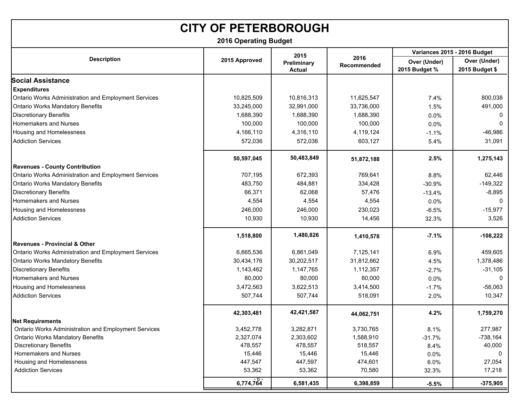**2016 Operating Budget**

|                                                      |                                               | 2015       |                     | Variances 2015 - 2016 Budget  |                                |  |
|------------------------------------------------------|-----------------------------------------------|------------|---------------------|-------------------------------|--------------------------------|--|
| <b>Description</b>                                   | 2015 Approved<br>Preliminary<br><b>Actual</b> |            | 2016<br>Recommended | Over (Under)<br>2015 Budget % | Over (Under)<br>2015 Budget \$ |  |
| <b>Social Assistance</b>                             |                                               |            |                     |                               |                                |  |
| <b>Expenditures</b>                                  |                                               |            |                     |                               |                                |  |
| Ontario Works Administration and Employment Services | 10,825,509                                    | 10,816,313 | 11,625,547          | 7.4%                          | 800,038                        |  |
| <b>Ontario Works Mandatory Benefits</b>              | 33,245,000                                    | 32,991,000 | 33,736,000          | 1.5%                          | 491,000                        |  |
| <b>Discretionary Benefits</b>                        | 1,688,390                                     | 1,688,390  | 1,688,390           | 0.0%                          |                                |  |
| Homemakers and Nurses                                | 100,000                                       | 100,000    | 100,000             | 0.0%                          | $\Omega$                       |  |
| Housing and Homelessness                             | 4,166,110                                     | 4,316,110  | 4,119,124           | $-1.1%$                       | $-46,986$                      |  |
| <b>Addiction Services</b>                            | 572,036                                       | 572,036    | 603,127             | 5.4%                          | 31,091                         |  |
|                                                      | 50,597,045                                    | 50,483,849 | 51,872,188          | 2.5%                          | 1,275,143                      |  |
| <b>Revenues - County Contribution</b>                |                                               |            |                     |                               |                                |  |
| Ontario Works Administration and Employment Services | 707,195                                       | 672,393    | 769,641             | 8.8%                          | 62,446                         |  |
| <b>Ontario Works Mandatory Benefits</b>              | 483,750                                       | 484,881    | 334,428             | $-30.9%$                      | $-149,322$                     |  |
| <b>Discretionary Benefits</b>                        | 66,371                                        | 62,068     | 57,476              | $-13.4%$                      | $-8,895$                       |  |
| Homemakers and Nurses                                | 4,554                                         | 4,554      | 4,554               | 0.0%                          |                                |  |
| Housing and Homelessness                             | 246,000                                       | 246,000    | 230,023             | $-6.5%$                       | $-15,977$                      |  |
| <b>Addiction Services</b>                            | 10,930                                        | 10,930     | 14,456              | 32.3%                         | 3,526                          |  |
|                                                      | 1,518,800                                     | 1,480,826  | 1,410,578           | $-7.1%$                       | $-108,222$                     |  |
| <b>Revenues - Provincial &amp; Other</b>             |                                               |            |                     |                               |                                |  |
| Ontario Works Administration and Employment Services | 6,665,536                                     | 6,861,049  | 7,125,141           | 6.9%                          | 459,605                        |  |
| <b>Ontario Works Mandatory Benefits</b>              | 30,434,176                                    | 30,202,517 | 31,812,662          | 4.5%                          | 1,378,486                      |  |
| <b>Discretionary Benefits</b>                        | 1,143,462                                     | 1,147,765  | 1,112,357           | $-2.7%$                       | $-31,105$                      |  |
| Homemakers and Nurses                                | 80,000                                        | 80,000     | 80,000              | 0.0%                          |                                |  |
| Housing and Homelessness                             | 3,472,563                                     | 3,622,513  | 3,414,500           | $-1.7%$                       | $-58,063$                      |  |
| <b>Addiction Services</b>                            | 507,744                                       | 507,744    | 518,091             | 2.0%                          | 10,347                         |  |
|                                                      | 42,303,481                                    | 42,421,587 | 44,062,751          | 4.2%                          | 1,759,270                      |  |
| <b>Net Requirements</b>                              |                                               |            |                     |                               |                                |  |
| Ontario Works Administration and Employment Services | 3,452,778                                     | 3,282,871  | 3,730,765           | 8.1%                          | 277,987                        |  |
| <b>Ontario Works Mandatory Benefits</b>              | 2,327,074                                     | 2,303,602  | 1,588,910           | $-31.7%$                      | -738,164                       |  |
| <b>Discretionary Benefits</b>                        | 478,557                                       | 478,557    | 518,557             | 8.4%                          | 40,000                         |  |
| Homemakers and Nurses                                | 15,446                                        | 15,446     | 15,446              | 0.0%                          |                                |  |
| Housing and Homelessness                             | 447,547                                       | 447,597    | 474,601             | 6.0%                          | 27,054                         |  |
| <b>Addiction Services</b>                            | 53,362                                        | 53,362     | 70,580              | 32.3%                         | 17,218                         |  |
|                                                      | 6,774,764                                     | 6,581,435  | 6,398,859           | $-5.5%$                       | $-375,905$                     |  |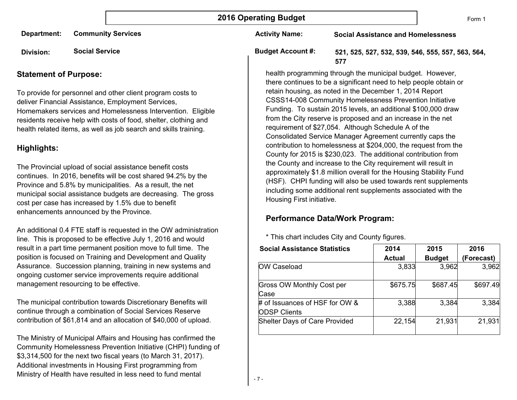**Department: Community Services** **Activity Name:** 

**Social Assistance and Homelessness**

**Division: Social Service**

## **Statement of Purpose:**

To provide for personnel and other client program costs to deliver Financial Assistance, Employment Services, Homemakers services and Homelessness Intervention. Eligible residents receive help with costs of food, shelter, clothing and health related items, as well as job search and skills training.

## **Highlights:**

The Provincial upload of social assistance benefit costs continues. In 2016, benefits will be cost shared 94.2% by the Province and 5.8% by municipalities. As a result, the net municipal social assistance budgets are decreasing. The gross cost per case has increased by 1.5% due to benefit enhancements announced by the Province.

An additional 0.4 FTE staff is requested in the OW administration line. This is proposed to be effective July 1, 2016 and would result in a part time permanent position move to full time. The position is focused on Training and Development and Quality Assurance. Succession planning, training in new systems and ongoing customer service improvements require additional management resourcing to be effective.

The municipal contribution towards Discretionary Benefits will continue through a combination of Social Services Reserve contribution of \$61,814 and an allocation of \$40,000 of upload.

The Ministry of Municipal Affairs and Housing has confirmed the Community Homelessness Prevention Initiative (CHPI) funding of \$3,314,500 for the next two fiscal years (to March 31, 2017). Additional investments in Housing First programming from Ministry of Health have resulted in less need to fund mental

**Budget Account #:** 

**521, 525, 527, 532, 539, 546, 555, 557, 563, 564, 577**

health programming through the municipal budget. However, there continues to be a significant need to help people obtain or retain housing, as noted in the December 1, 2014 Report CSSS14-008 Community Homelessness Prevention Initiative Funding. To sustain 2015 levels, an additional \$100,000 draw from the City reserve is proposed and an increase in the net requirement of \$27,054. Although Schedule A of the Consolidated Service Manager Agreement currently caps the contribution to homelessness at \$204,000, the request from the County for 2015 is \$230,023. The additional contribution from the County and increase to the City requirement will result in approximately \$1.8 million overall for the Housing Stability Fund (HSF). CHPI funding will also be used towards rent supplements including some additional rent supplements associated with the Housing First initiative.

## **Performance Data/Work Program:**

\* This chart includes City and County figures.

| <b>Social Assistance Statistics</b>                   | 2014          | 2015          | 2016       |
|-------------------------------------------------------|---------------|---------------|------------|
|                                                       | <b>Actual</b> | <b>Budget</b> | (Forecast) |
| OW Caseload                                           | 3,833         | 3,962         | 3,962      |
| <b>Gross OW Monthly Cost per</b><br>Case              | \$675.75      | \$687.45      | \$697.49   |
| # of Issuances of HSF for OW &<br><b>ODSP Clients</b> | 3,388         | 3,384         | 3,384      |
| <b>Shelter Days of Care Provided</b>                  | 22,154        | 21,931        | 21,931     |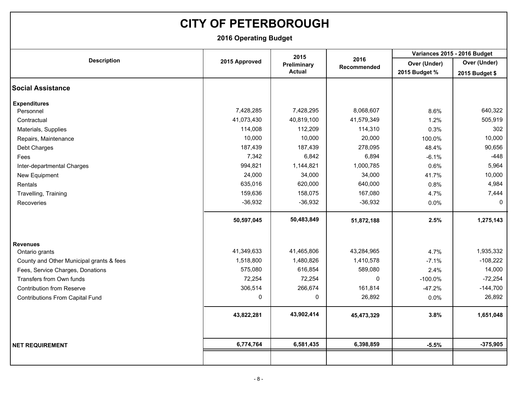**2016 Operating Budget**

|                                          |               | 2015          |                            | Variances 2015 - 2016 Budget |                |  |
|------------------------------------------|---------------|---------------|----------------------------|------------------------------|----------------|--|
| <b>Description</b>                       | 2015 Approved | Preliminary   | 2016<br><b>Recommended</b> | Over (Under)                 | Over (Under)   |  |
|                                          |               | <b>Actual</b> |                            | 2015 Budget %                | 2015 Budget \$ |  |
| <b>Social Assistance</b>                 |               |               |                            |                              |                |  |
| <b>Expenditures</b>                      |               |               |                            |                              |                |  |
| Personnel                                | 7,428,285     | 7,428,295     | 8,068,607                  | 8.6%                         | 640,322        |  |
| Contractual                              | 41,073,430    | 40,819,100    | 41,579,349                 | 1.2%                         | 505,919        |  |
| Materials, Supplies                      | 114,008       | 112,209       | 114,310                    | 0.3%                         | 302            |  |
| Repairs, Maintenance                     | 10,000        | 10,000        | 20,000                     | 100.0%                       | 10,000         |  |
| Debt Charges                             | 187,439       | 187,439       | 278,095                    | 48.4%                        | 90,656         |  |
| Fees                                     | 7,342         | 6,842         | 6,894                      | $-6.1%$                      | $-448$         |  |
| Inter-departmental Charges               | 994,821       | 1,144,821     | 1,000,785                  | 0.6%                         | 5,964          |  |
| New Equipment                            | 24,000        | 34,000        | 34,000                     | 41.7%                        | 10,000         |  |
| Rentals                                  | 635,016       | 620,000       | 640,000                    | 0.8%                         | 4,984          |  |
| Travelling, Training                     | 159,636       | 158,075       | 167,080                    | 4.7%                         | 7,444          |  |
| Recoveries                               | $-36,932$     | $-36,932$     | $-36,932$                  | 0.0%                         | $\mathbf 0$    |  |
|                                          | 50,597,045    | 50,483,849    | 51,872,188                 | 2.5%                         | 1,275,143      |  |
| <b>Revenues</b>                          |               |               |                            |                              |                |  |
| Ontario grants                           | 41,349,633    | 41,465,806    | 43,284,965                 | 4.7%                         | 1,935,332      |  |
| County and Other Municipal grants & fees | 1,518,800     | 1,480,826     | 1,410,578                  | $-7.1%$                      | $-108,222$     |  |
| Fees, Service Charges, Donations         | 575,080       | 616,854       | 589,080                    | 2.4%                         | 14,000         |  |
| Transfers from Own funds                 | 72,254        | 72,254        | $\Omega$                   | $-100.0%$                    | $-72,254$      |  |
| <b>Contribution from Reserve</b>         | 306,514       | 266,674       | 161,814                    | $-47.2%$                     | $-144,700$     |  |
| <b>Contributions From Capital Fund</b>   | 0             | 0             | 26,892                     | 0.0%                         | 26,892         |  |
|                                          | 43,822,281    | 43,902,414    | 45,473,329                 | 3.8%                         | 1,651,048      |  |
|                                          |               |               |                            |                              |                |  |
| <b>NET REQUIREMENT</b>                   | 6,774,764     | 6,581,435     | 6,398,859                  | $-5.5%$                      | $-375,905$     |  |
|                                          |               |               |                            |                              |                |  |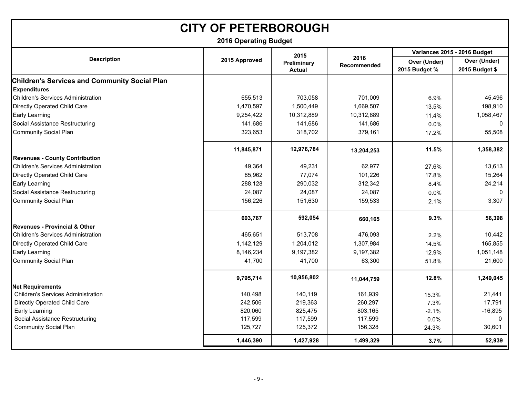| <b>CITY OF PETERBOROUGH</b><br><b>2016 Operating Budget</b>          |               |                              |                            |                               |                                |  |
|----------------------------------------------------------------------|---------------|------------------------------|----------------------------|-------------------------------|--------------------------------|--|
|                                                                      |               |                              |                            |                               |                                |  |
| <b>Description</b>                                                   | 2015 Approved | Preliminary<br><b>Actual</b> | 2016<br><b>Recommended</b> | Over (Under)<br>2015 Budget % | Over (Under)<br>2015 Budget \$ |  |
| Children's Services and Community Social Plan<br><b>Expenditures</b> |               |                              |                            |                               |                                |  |
| <b>Children's Services Administration</b>                            | 655,513       | 703,058                      | 701,009                    | 6.9%                          | 45,496                         |  |
| Directly Operated Child Care                                         | 1,470,597     | 1,500,449                    | 1,669,507                  | 13.5%                         | 198,910                        |  |
| Early Learning                                                       | 9,254,422     | 10,312,889                   | 10,312,889                 | 11.4%                         | 1,058,467                      |  |
| Social Assistance Restructuring                                      | 141,686       | 141,686                      | 141,686                    | 0.0%                          | $\mathbf{0}$                   |  |
| <b>Community Social Plan</b>                                         | 323,653       | 318,702                      | 379,161                    | 17.2%                         | 55,508                         |  |
|                                                                      | 11,845,871    | 12,976,784                   | 13,204,253                 | 11.5%                         | 1,358,382                      |  |
| <b>Revenues - County Contribution</b>                                |               |                              |                            |                               |                                |  |
| Children's Services Administration                                   | 49,364        | 49,231                       | 62,977                     | 27.6%                         | 13,613                         |  |
| Directly Operated Child Care                                         | 85,962        | 77,074                       | 101,226                    | 17.8%                         | 15,264                         |  |
| Early Learning                                                       | 288,128       | 290,032                      | 312,342                    | 8.4%                          | 24,214                         |  |
| Social Assistance Restructuring                                      | 24,087        | 24,087                       | 24,087                     | $0.0\%$                       | $\Omega$                       |  |
| Community Social Plan                                                | 156,226       | 151,630                      | 159,533                    | 2.1%                          | 3,307                          |  |
|                                                                      | 603,767       | 592,054                      | 660,165                    | 9.3%                          | 56,398                         |  |
| <b>Revenues - Provincial &amp; Other</b>                             |               |                              |                            |                               |                                |  |
| <b>Children's Services Administration</b>                            | 465,651       | 513,708                      | 476,093                    | 2.2%                          | 10,442                         |  |
| Directly Operated Child Care                                         | 1,142,129     | 1,204,012                    | 1,307,984                  | 14.5%                         | 165,855                        |  |
| Early Learning                                                       | 8,146,234     | 9,197,382                    | 9,197,382                  | 12.9%                         | 1,051,148                      |  |
| <b>Community Social Plan</b>                                         | 41,700        | 41,700                       | 63,300                     | 51.8%                         | 21,600                         |  |
|                                                                      | 9,795,714     | 10,956,802                   | 11,044,759                 | 12.8%                         | 1,249,045                      |  |
| <b>Net Requirements</b>                                              |               |                              |                            |                               |                                |  |
| <b>Children's Services Administration</b>                            | 140,498       | 140,119                      | 161,939                    | 15.3%                         | 21,441                         |  |
| Directly Operated Child Care                                         | 242,506       | 219,363                      | 260,297                    | 7.3%                          | 17,791                         |  |
| Early Learning                                                       | 820,060       | 825,475                      | 803,165                    | $-2.1%$                       | $-16,895$                      |  |
| Social Assistance Restructuring                                      | 117,599       | 117,599                      | 117,599                    | 0.0%                          | $\mathbf{0}$                   |  |
| <b>Community Social Plan</b>                                         | 125,727       | 125,372                      | 156,328                    | 24.3%                         | 30,601                         |  |
|                                                                      | 1,446,390     | 1,427,928                    | 1,499,329                  | 3.7%                          | 52,939                         |  |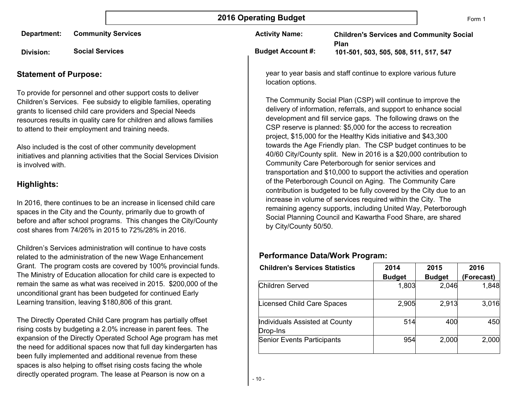| Department: | <b>Community Services</b> | <b>Activity Name:</b>    | <b>Children's Services and Community Social</b> |
|-------------|---------------------------|--------------------------|-------------------------------------------------|
| Division:   | <b>Social Services</b>    | <b>Budget Account #:</b> | Plan<br>101-501, 503, 505, 508, 511, 517, 547   |

### **Statement of Purpose:**

To provide for personnel and other support costs to deliver Children's Services. Fee subsidy to eligible families, operating grants to licensed child care providers and Special Needs resources results in quality care for children and allows families to attend to their employment and training needs.

Also included is the cost of other community development initiatives and planning activities that the Social Services Division is involved with.

## **Highlights:**

In 2016, there continues to be an increase in licensed child care spaces in the City and the County, primarily due to growth of before and after school programs. This changes the City/County cost shares from 74/26% in 2015 to 72%/28% in 2016.

Children's Services administration will continue to have costs related to the administration of the new Wage Enhancement Grant. The program costs are covered by 100% provincial funds. The Ministry of Education allocation for child care is expected to remain the same as what was received in 2015. \$200,000 of the unconditional grant has been budgeted for continued Early Learning transition, leaving \$180,806 of this grant.

The Directly Operated Child Care program has partially offset rising costs by budgeting a 2.0% increase in parent fees. The expansion of the Directly Operated School Age program has met the need for additional spaces now that full day kindergarten has been fully implemented and additional revenue from these spaces is also helping to offset rising costs facing the whole directly operated program. The lease at Pearson is now on a

year to year basis and staff continue to explore various future location options.

The Community Social Plan (CSP) will continue to improve the delivery of information, referrals, and support to enhance social development and fill service gaps. The following draws on the CSP reserve is planned: \$5,000 for the access to recreation project, \$15,000 for the Healthy Kids initiative and \$43,300 towards the Age Friendly plan. The CSP budget continues to be 40/60 City/County split. New in 2016 is a \$20,000 contribution to Community Care Peterborough for senior services and transportation and \$10,000 to support the activities and operation of the Peterborough Council on Aging. The Community Care contribution is budgeted to be fully covered by the City due to an increase in volume of services required within the City. The remaining agency supports, including United Way, Peterborough Social Planning Council and Kawartha Food Share, are shared by City/County 50/50.

## **Performance Data/Work Program:**

| <b>Children's Services Statistics</b>      | 2014          | 2015          | 2016       |  |
|--------------------------------------------|---------------|---------------|------------|--|
|                                            | <b>Budget</b> | <b>Budget</b> | (Forecast) |  |
| <b>Children Served</b>                     | 1,803         | 2,046         | 1,848      |  |
| Licensed Child Care Spaces                 | 2,905         | 2,913         | 3,016      |  |
| Individuals Assisted at County<br>Drop-Ins | 514           | 400           | 450        |  |
| <b>Senior Events Participants</b>          | 954           | 2,000         | 2,000      |  |

- 10 -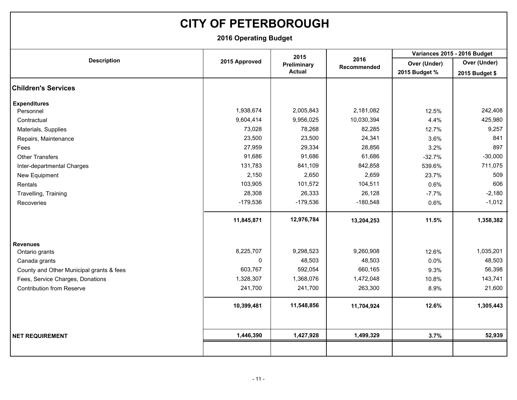**2016 Operating Budget**

|                                          |               | 2015          |                     | Variances 2015 - 2016 Budget |                |  |
|------------------------------------------|---------------|---------------|---------------------|------------------------------|----------------|--|
| <b>Description</b>                       | 2015 Approved | Preliminary   | 2016<br>Recommended | Over (Under)                 | Over (Under)   |  |
|                                          |               | <b>Actual</b> |                     | 2015 Budget %                | 2015 Budget \$ |  |
| <b>Children's Services</b>               |               |               |                     |                              |                |  |
| <b>Expenditures</b>                      |               |               |                     |                              |                |  |
| Personnel                                | 1,938,674     | 2,005,843     | 2,181,082           | 12.5%                        | 242,408        |  |
| Contractual                              | 9,604,414     | 9,956,025     | 10,030,394          | 4.4%                         | 425,980        |  |
| Materials, Supplies                      | 73,028        | 78,268        | 82,285              | 12.7%                        | 9,257          |  |
| Repairs, Maintenance                     | 23,500        | 23,500        | 24,341              | 3.6%                         | 841            |  |
| Fees                                     | 27,959        | 29,334        | 28,856              | 3.2%                         | 897            |  |
| <b>Other Transfers</b>                   | 91,686        | 91,686        | 61,686              | $-32.7%$                     | $-30,000$      |  |
| Inter-departmental Charges               | 131,783       | 841,109       | 842,858             | 539.6%                       | 711,075        |  |
| New Equipment                            | 2,150         | 2,650         | 2,659               | 23.7%                        | 509            |  |
| Rentals                                  | 103,905       | 101,572       | 104,511             | 0.6%                         | 606            |  |
| Travelling, Training                     | 28,308        | 26,333        | 26,128              | $-7.7%$                      | $-2,180$       |  |
| Recoveries                               | $-179,536$    | $-179,536$    | $-180,548$          | 0.6%                         | $-1,012$       |  |
|                                          | 11,845,871    | 12,976,784    | 13,204,253          | 11.5%                        | 1,358,382      |  |
| <b>Revenues</b>                          |               |               |                     |                              |                |  |
| Ontario grants                           | 8,225,707     | 9,298,523     | 9,260,908           | 12.6%                        | 1,035,201      |  |
| Canada grants                            | 0             | 48,503        | 48,503              | 0.0%                         | 48,503         |  |
| County and Other Municipal grants & fees | 603,767       | 592,054       | 660,165             | 9.3%                         | 56,398         |  |
| Fees, Service Charges, Donations         | 1,328,307     | 1,368,076     | 1,472,048           | 10.8%                        | 143,741        |  |
| <b>Contribution from Reserve</b>         | 241,700       | 241,700       | 263,300             | 8.9%                         | 21,600         |  |
|                                          | 10,399,481    | 11,548,856    | 11,704,924          | 12.6%                        | 1,305,443      |  |
|                                          |               |               |                     |                              |                |  |
| <b>NET REQUIREMENT</b>                   | 1,446,390     | 1,427,928     | 1,499,329           | 3.7%                         | 52,939         |  |
|                                          |               |               |                     |                              |                |  |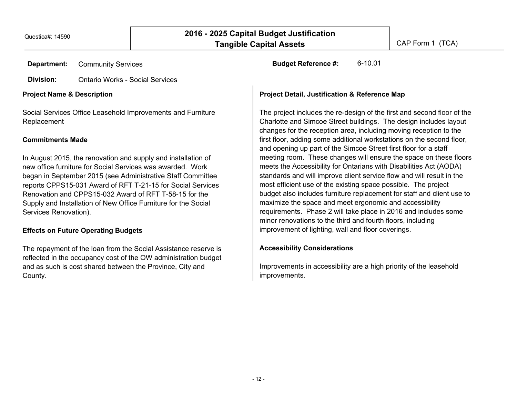**Department:**

**Division:** Ontario Works - Social Services

#### **Project Name & Description**

Social Services Office Leasehold Improvements and Furniture Replacement

#### **Commitments Made**

In August 2015, the renovation and supply and installation of new office furniture for Social Services was awarded. Work began in September 2015 (see Administrative Staff Committee reports CPPS15-031 Award of RFT T-21-15 for Social Services Renovation and CPPS15-032 Award of RFT T-58-15 for the Supply and Installation of New Office Furniture for the Social Services Renovation).

#### **Effects on Future Operating Budgets**

The repayment of the loan from the Social Assistance reserve is reflected in the occupancy cost of the OW administration budget and as such is cost shared between the Province, City and County.

Community Services **Budget Reference #:** 6-10.01

## **Project Detail, Justification & Reference Map**

The project includes the re-design of the first and second floor of the Charlotte and Simcoe Street buildings. The design includes layout changes for the reception area, including moving reception to the first floor, adding some additional workstations on the second floor, and opening up part of the Simcoe Street first floor for a staff meeting room. These changes will ensure the space on these floors meets the Accessibility for Ontarians with Disabilities Act (AODA) standards and will improve client service flow and will result in the most efficient use of the existing space possible. The project budget also includes furniture replacement for staff and client use to maximize the space and meet ergonomic and accessibility requirements. Phase 2 will take place in 2016 and includes some minor renovations to the third and fourth floors, including improvement of lighting, wall and floor coverings.

#### **Accessibility Considerations**

Improvements in accessibility are a high priority of the leasehold improvements.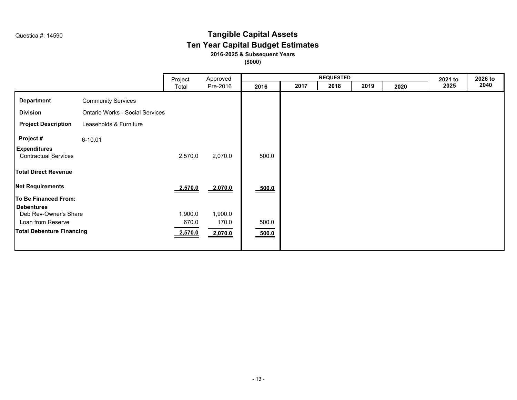## **Tangible Capital Assets Ten Year Capital Budget Estimates 2016-2025 & Subsequent Years**

|                                                    |                                        | Project | Approved |                                                |      | <b>REQUESTED</b> |      |      | 2021 to | 2026 to |
|----------------------------------------------------|----------------------------------------|---------|----------|------------------------------------------------|------|------------------|------|------|---------|---------|
|                                                    |                                        | Total   | Pre-2016 | 2016                                           | 2017 | 2018             | 2019 | 2020 | 2025    | 2040    |
| <b>Department</b>                                  | <b>Community Services</b>              |         |          |                                                |      |                  |      |      |         |         |
| <b>Division</b>                                    | <b>Ontario Works - Social Services</b> |         |          |                                                |      |                  |      |      |         |         |
| <b>Project Description</b>                         | Leaseholds & Furniture                 |         |          |                                                |      |                  |      |      |         |         |
| Project #                                          | $6 - 10.01$                            |         |          |                                                |      |                  |      |      |         |         |
| <b>Expenditures</b><br><b>Contractual Services</b> |                                        | 2,570.0 | 2,070.0  | 500.0                                          |      |                  |      |      |         |         |
| <b>Total Direct Revenue</b>                        |                                        |         |          |                                                |      |                  |      |      |         |         |
| <b>Net Requirements</b>                            |                                        | 2,570.0 | 2,070.0  | $\underline{\underline{\hspace{1.5mm}} 500.0}$ |      |                  |      |      |         |         |
| To Be Financed From:                               |                                        |         |          |                                                |      |                  |      |      |         |         |
| <b>Debentures</b>                                  |                                        |         |          |                                                |      |                  |      |      |         |         |
| Deb Rev-Owner's Share                              |                                        | 1,900.0 | 1,900.0  |                                                |      |                  |      |      |         |         |
| Loan from Reserve                                  |                                        | 670.0   | 170.0    | 500.0                                          |      |                  |      |      |         |         |
| <b>Total Debenture Financing</b>                   |                                        | 2,570.0 | 2,070.0  | $\frac{500.0}{2}$                              |      |                  |      |      |         |         |
|                                                    |                                        |         |          |                                                |      |                  |      |      |         |         |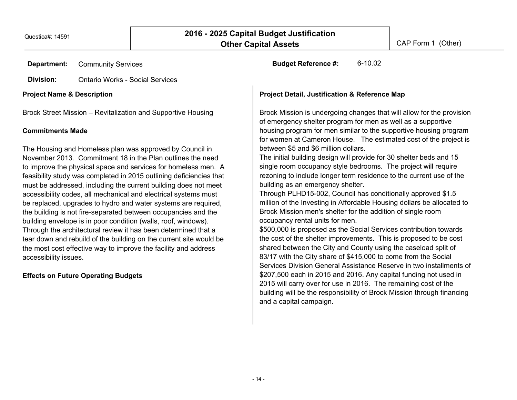**Department:**

**Division:** Ontario Works - Social Services

**Project Name & Description**

Brock Street Mission – Revitalization and Supportive Housing

#### **Commitments Made**

The Housing and Homeless plan was approved by Council in November 2013. Commitment 18 in the Plan outlines the need to improve the physical space and services for homeless men. A feasibility study was completed in 2015 outlining deficiencies that must be addressed, including the current building does not meet accessibility codes, all mechanical and electrical systems must be replaced, upgrades to hydro and water systems are required, the building is not fire-separated between occupancies and the building envelope is in poor condition (walls, roof, windows). Through the architectural review it has been determined that a tear down and rebuild of the building on the current site would be the most cost effective way to improve the facility and address accessibility issues.

**Effects on Future Operating Budgets**

Community Services **Budget Reference #:** 6-10.02

### **Project Detail, Justification & Reference Map**

Brock Mission is undergoing changes that will allow for the provision of emergency shelter program for men as well as a supportive housing program for men similar to the supportive housing program for women at Cameron House. The estimated cost of the project is between \$5 and \$6 million dollars.

The initial building design will provide for 30 shelter beds and 15 single room occupancy style bedrooms. The project will require rezoning to include longer term residence to the current use of the building as an emergency shelter.

Through PLHD15-002, Council has conditionally approved \$1.5 million of the Investing in Affordable Housing dollars be allocated to Brock Mission men's shelter for the addition of single room occupancy rental units for men.

\$500,000 is proposed as the Social Services contribution towards the cost of the shelter improvements. This is proposed to be cost shared between the City and County using the caseload split of 83/17 with the City share of \$415,000 to come from the Social Services Division General Assistance Reserve in two installments of \$207,500 each in 2015 and 2016. Any capital funding not used in 2015 will carry over for use in 2016. The remaining cost of the building will be the responsibility of Brock Mission through financing and a capital campaign.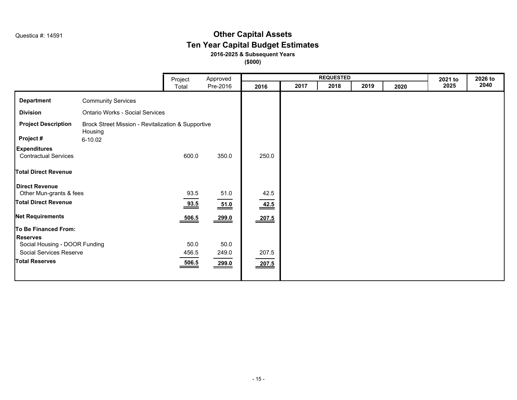## **Other Capital Assets Ten Year Capital Budget Estimates 2016-2025 & Subsequent Years**

|                                                                             |                                                               | Project                      | Approved                       |       |      | <b>REQUESTED</b> |      |      | 2021 to | 2026 to |
|-----------------------------------------------------------------------------|---------------------------------------------------------------|------------------------------|--------------------------------|-------|------|------------------|------|------|---------|---------|
|                                                                             |                                                               | Total                        | Pre-2016                       | 2016  | 2017 | 2018             | 2019 | 2020 | 2025    | 2040    |
| <b>Department</b>                                                           | <b>Community Services</b>                                     |                              |                                |       |      |                  |      |      |         |         |
| <b>Division</b>                                                             | Ontario Works - Social Services                               |                              |                                |       |      |                  |      |      |         |         |
| <b>Project Description</b>                                                  | Brock Street Mission - Revitalization & Supportive<br>Housing |                              |                                |       |      |                  |      |      |         |         |
| Project #                                                                   | 6-10.02                                                       |                              |                                |       |      |                  |      |      |         |         |
| <b>Expenditures</b><br><b>Contractual Services</b>                          |                                                               | 600.0                        | 350.0                          | 250.0 |      |                  |      |      |         |         |
| <b>Total Direct Revenue</b>                                                 |                                                               |                              |                                |       |      |                  |      |      |         |         |
| Direct Revenue<br>Other Mun-grants & fees                                   |                                                               | 93.5                         | 51.0                           | 42.5  |      |                  |      |      |         |         |
| <b>Total Direct Revenue</b>                                                 |                                                               | $\frac{93.5}{2}$             | $\underline{\underline{51.0}}$ | 42.5  |      |                  |      |      |         |         |
| <b>Net Requirements</b>                                                     |                                                               | $\underline{\frac{506.5}{}}$ | $\frac{299.0}{2}$              | 207.5 |      |                  |      |      |         |         |
| To Be Financed From:                                                        |                                                               |                              |                                |       |      |                  |      |      |         |         |
| <b>Reserves</b><br>Social Housing - DOOR Funding<br>Social Services Reserve |                                                               | 50.0<br>456.5                | 50.0<br>249.0                  | 207.5 |      |                  |      |      |         |         |
| <b>Total Reserves</b>                                                       |                                                               | $\frac{506.5}{2}$            | 299.0                          | 207.5 |      |                  |      |      |         |         |
|                                                                             |                                                               |                              |                                |       |      |                  |      |      |         |         |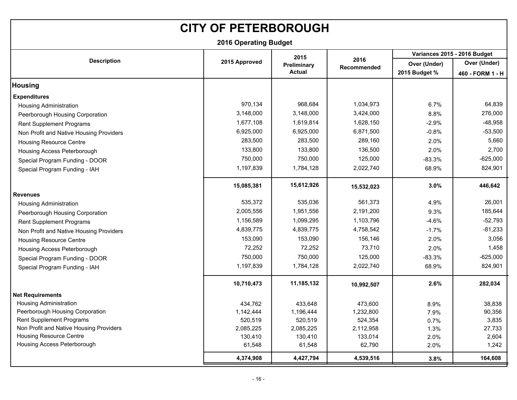**2016 Operating Budget**

|                                         |               | 2015        |             | Variances 2015 - 2016 Budget |                  |  |
|-----------------------------------------|---------------|-------------|-------------|------------------------------|------------------|--|
| <b>Description</b>                      | 2015 Approved | Preliminary | 2016        | Over (Under)                 | Over (Under)     |  |
|                                         |               | Actual      | Recommended | 2015 Budget %                | 460 - FORM 1 - H |  |
| <b>Housing</b>                          |               |             |             |                              |                  |  |
| <b>Expenditures</b>                     |               |             |             |                              |                  |  |
| <b>Housing Administration</b>           | 970,134       | 968,684     | 1,034,973   | 6.7%                         | 64,839           |  |
| Peerborough Housing Corporation         | 3,148,000     | 3,148,000   | 3,424,000   | 8.8%                         | 276,000          |  |
| <b>Rent Supplement Programs</b>         | 1,677,108     | 1,619,814   | 1,628,150   | $-2.9%$                      | $-48,958$        |  |
| Non Profit and Native Housing Providers | 6,925,000     | 6,925,000   | 6,871,500   | $-0.8%$                      | $-53,500$        |  |
| <b>Housing Resource Centre</b>          | 283,500       | 283,500     | 289,160     | 2.0%                         | 5,660            |  |
| Housing Access Peterborough             | 133,800       | 133,800     | 136,500     | 2.0%                         | 2,700            |  |
| Special Program Funding - DOOR          | 750,000       | 750,000     | 125,000     | $-83.3%$                     | $-625,000$       |  |
| Special Program Funding - IAH           | 1,197,839     | 1,784,128   | 2,022,740   | 68.9%                        | 824,901          |  |
|                                         | 15,085,381    | 15,612,926  | 15,532,023  | 3.0%                         | 446,642          |  |
| <b>Revenues</b>                         |               |             |             |                              |                  |  |
| <b>Housing Administration</b>           | 535,372       | 535,036     | 561,373     | 4.9%                         | 26,001           |  |
| Peerborough Housing Corporation         | 2,005,556     | 1,951,556   | 2,191,200   | 9.3%                         | 185,644          |  |
| <b>Rent Supplement Programs</b>         | 1,156,589     | 1,099,295   | 1,103,796   | $-4.6%$                      | $-52,793$        |  |
| Non Profit and Native Housing Providers | 4,839,775     | 4,839,775   | 4,758,542   | $-1.7%$                      | $-81,233$        |  |
| <b>Housing Resource Centre</b>          | 153,090       | 153,090     | 156,146     | 2.0%                         | 3,056            |  |
| Housing Access Peterborough             | 72,252        | 72,252      | 73,710      | 2.0%                         | 1,458            |  |
| Special Program Funding - DOOR          | 750,000       | 750,000     | 125,000     | $-83.3%$                     | $-625,000$       |  |
| Special Program Funding - IAH           | 1,197,839     | 1,784,128   | 2,022,740   | 68.9%                        | 824,901          |  |
|                                         | 10,710,473    | 11,185,132  | 10,992,507  | 2.6%                         | 282,034          |  |
| <b>Net Requirements</b>                 |               |             |             |                              |                  |  |
| <b>Housing Administration</b>           | 434,762       | 433,648     | 473,600     | 8.9%                         | 38,838           |  |
| Peerborough Housing Corporation         | 1,142,444     | 1,196,444   | 1,232,800   | 7.9%                         | 90,356           |  |
| Rent Supplement Programs                | 520,519       | 520,519     | 524,354     | 0.7%                         | 3,835            |  |
| Non Profit and Native Housing Providers | 2,085,225     | 2,085,225   | 2,112,958   | 1.3%                         | 27,733           |  |
| <b>Housing Resource Centre</b>          | 130,410       | 130,410     | 133,014     | 2.0%                         | 2,604            |  |
| Housing Access Peterborough             | 61,548        | 61,548      | 62,790      | 2.0%                         | 1,242            |  |
|                                         | 4,374,908     | 4,427,794   | 4,539,516   | 3.8%                         | 164,608          |  |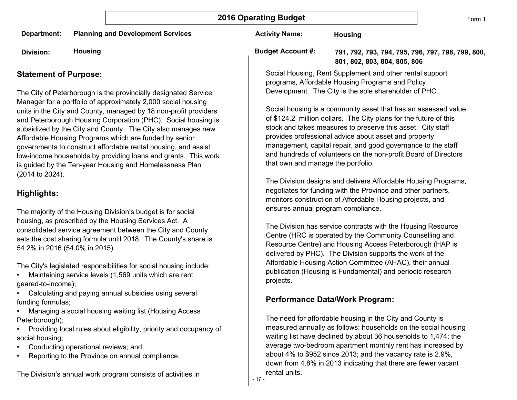- 17 -

**Department: Planning and Development Services**

**Division: Housing**

## **Statement of Purpose:**

The City of Peterborough is the provincially designated Service Manager for a portfolio of approximately 2,000 social housing units in the City and County, managed by 18 non-profit providers and Peterborough Housing Corporation (PHC). Social housing is subsidized by the City and County. The City also manages new Affordable Housing Programs which are funded by senior governments to construct affordable rental housing, and assist low-income households by providing loans and grants. This work is guided by the Ten-year Housing and Homelessness Plan (2014 to 2024).

## **Highlights:**

The majority of the Housing Division's budget is for social housing, as prescribed by the Housing Services Act. A consolidated service agreement between the City and County sets the cost sharing formula until 2018. The County's share is 54.2% in 2016 (54.0% in 2015).

The City's legislated responsibilities for social housing include:

- Maintaining service levels (1,569 units which are rent geared-to-income);
- Calculating and paying annual subsidies using several funding formulas;
- Managing a social housing waiting list (Housing Access Peterborough);
- Providing local rules about eligibility, priority and occupancy of social housing;
- Conducting operational reviews; and,
- Reporting to the Province on annual compliance.

The Division's annual work program consists of activities in

**Budget Account #:** 

**Activity Name:** 

**791, 792, 793, 794, 795, 796, 797, 798, 799, 800, 801, 802, 803, 804, 805, 806**

Social Housing, Rent Supplement and other rental support programs, Affordable Housing Programs and Policy Development. The City is the sole shareholder of PHC.

**Housing**

Social housing is a community asset that has an assessed value of \$124.2 million dollars. The City plans for the future of this stock and takes measures to preserve this asset. City staff provides professional advice about asset and property management, capital repair, and good governance to the staff and hundreds of volunteers on the non-profit Board of Directors that own and manage the portfolio.

The Division designs and delivers Affordable Housing Programs, negotiates for funding with the Province and other partners, monitors construction of Affordable Housing projects, and ensures annual program compliance.

The Division has service contracts with the Housing Resource Centre (HRC is operated by the Community Counselling and Resource Centre) and Housing Access Peterborough (HAP is delivered by PHC). The Division supports the work of the Affordable Housing Action Committee (AHAC), their annual publication (Housing is Fundamental) and periodic research projects.

## **Performance Data/Work Program:**

The need for affordable housing in the City and County is measured annually as follows: households on the social housing waiting list have declined by about 36 households to 1,474; the average two-bedroom apartment monthly rent has increased by about 4% to \$952 since 2013; and the vacancy rate is 2.9%, down from 4.8% in 2013 indicating that there are fewer vacant rental units.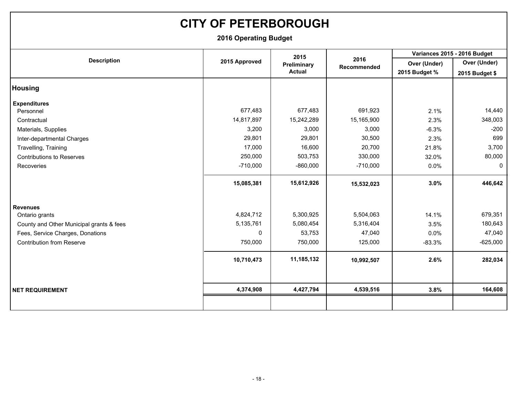**2016 Operating Budget**

|                                          |               | 2015          |                     |               | Variances 2015 - 2016 Budget |
|------------------------------------------|---------------|---------------|---------------------|---------------|------------------------------|
| <b>Description</b>                       | 2015 Approved | Preliminary   | 2016<br>Recommended | Over (Under)  | Over (Under)                 |
|                                          |               | <b>Actual</b> |                     | 2015 Budget % | 2015 Budget \$               |
| <b>Housing</b>                           |               |               |                     |               |                              |
| <b>Expenditures</b>                      |               |               |                     |               |                              |
| Personnel                                | 677,483       | 677,483       | 691,923             | 2.1%          | 14,440                       |
| Contractual                              | 14,817,897    | 15,242,289    | 15,165,900          | 2.3%          | 348,003                      |
| Materials, Supplies                      | 3,200         | 3,000         | 3,000               | $-6.3%$       | $-200$                       |
| Inter-departmental Charges               | 29,801        | 29,801        | 30,500              | 2.3%          | 699                          |
| Travelling, Training                     | 17,000        | 16,600        | 20,700              | 21.8%         | 3,700                        |
| <b>Contributions to Reserves</b>         | 250,000       | 503,753       | 330,000             | 32.0%         | 80,000                       |
| Recoveries                               | $-710,000$    | $-860,000$    | $-710,000$          | 0.0%          | 0                            |
|                                          | 15,085,381    | 15,612,926    | 15,532,023          | 3.0%          | 446,642                      |
| <b>Revenues</b>                          |               |               |                     |               |                              |
| Ontario grants                           | 4,824,712     | 5,300,925     | 5,504,063           | 14.1%         | 679,351                      |
| County and Other Municipal grants & fees | 5,135,761     | 5,080,454     | 5,316,404           | 3.5%          | 180,643                      |
| Fees, Service Charges, Donations         | 0             | 53,753        | 47,040              | $0.0\%$       | 47,040                       |
| <b>Contribution from Reserve</b>         | 750,000       | 750,000       | 125,000             | $-83.3%$      | $-625,000$                   |
|                                          | 10,710,473    | 11,185,132    | 10,992,507          | 2.6%          | 282,034                      |
|                                          |               |               |                     |               |                              |
| <b>NET REQUIREMENT</b>                   | 4,374,908     | 4,427,794     | 4,539,516           | 3.8%          | 164,608                      |
|                                          |               |               |                     |               |                              |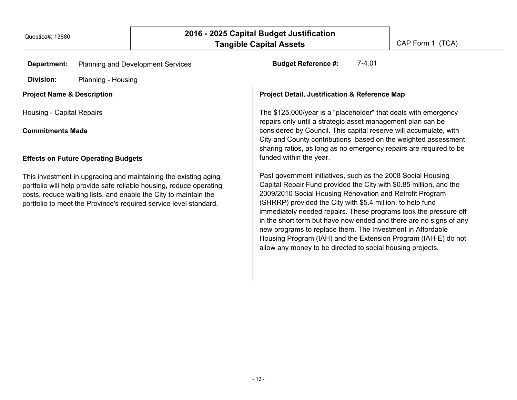| Department:                           | Planning and Development Services                                                                                                                                                                                                                                               | $7-4.01$<br><b>Budget Reference #:</b>                                                                                                                                                                                                                                                                                                                                                                                                                                                                                                                                                               |  |  |  |  |  |  |
|---------------------------------------|---------------------------------------------------------------------------------------------------------------------------------------------------------------------------------------------------------------------------------------------------------------------------------|------------------------------------------------------------------------------------------------------------------------------------------------------------------------------------------------------------------------------------------------------------------------------------------------------------------------------------------------------------------------------------------------------------------------------------------------------------------------------------------------------------------------------------------------------------------------------------------------------|--|--|--|--|--|--|
| Division:                             | Planning - Housing                                                                                                                                                                                                                                                              |                                                                                                                                                                                                                                                                                                                                                                                                                                                                                                                                                                                                      |  |  |  |  |  |  |
| <b>Project Name &amp; Description</b> |                                                                                                                                                                                                                                                                                 | <b>Project Detail, Justification &amp; Reference Map</b>                                                                                                                                                                                                                                                                                                                                                                                                                                                                                                                                             |  |  |  |  |  |  |
| Housing - Capital Repairs             |                                                                                                                                                                                                                                                                                 | The \$125,000/year is a "placeholder" that deals with emergency<br>repairs only until a strategic asset management plan can be                                                                                                                                                                                                                                                                                                                                                                                                                                                                       |  |  |  |  |  |  |
| <b>Commitments Made</b>               |                                                                                                                                                                                                                                                                                 | considered by Council. This capital reserve will accumulate, with<br>City and County contributions based on the weighted assessment<br>sharing ratios, as long as no emergency repairs are required to be                                                                                                                                                                                                                                                                                                                                                                                            |  |  |  |  |  |  |
|                                       | <b>Effects on Future Operating Budgets</b>                                                                                                                                                                                                                                      | funded within the year.                                                                                                                                                                                                                                                                                                                                                                                                                                                                                                                                                                              |  |  |  |  |  |  |
|                                       | This investment in upgrading and maintaining the existing aging<br>portfolio will help provide safe reliable housing, reduce operating<br>costs, reduce waiting lists, and enable the City to maintain the<br>portfolio to meet the Province's required service level standard. | Past government initiatives, such as the 2008 Social Housing<br>Capital Repair Fund provided the City with \$0.85 million, and the<br>2009/2010 Social Housing Renovation and Retrofit Program<br>(SHRRP) provided the City with \$5.4 million, to help fund<br>immediately needed repairs. These programs took the pressure off<br>in the short term but have now ended and there are no signs of any<br>new programs to replace them. The Investment in Affordable<br>Housing Program (IAH) and the Extension Program (IAH-E) do not<br>allow any money to be directed to social housing projects. |  |  |  |  |  |  |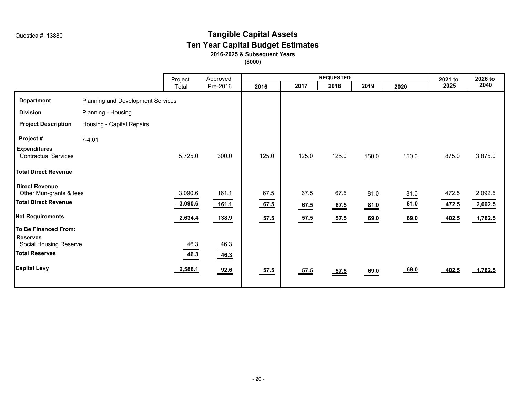## **Tangible Capital Assets Ten Year Capital Budget Estimates 2016-2025 & Subsequent Years**

|                                                                                                   |                                   | Project                  | Approved                               |                                |                            | <b>REQUESTED</b>               |                                        |                                        | 2021 to                      | 2026 to            |
|---------------------------------------------------------------------------------------------------|-----------------------------------|--------------------------|----------------------------------------|--------------------------------|----------------------------|--------------------------------|----------------------------------------|----------------------------------------|------------------------------|--------------------|
|                                                                                                   |                                   | Total                    | Pre-2016                               | 2016                           | 2017                       | 2018                           | 2019                                   | 2020                                   | 2025                         | 2040               |
| <b>Department</b>                                                                                 | Planning and Development Services |                          |                                        |                                |                            |                                |                                        |                                        |                              |                    |
| <b>Division</b>                                                                                   | Planning - Housing                |                          |                                        |                                |                            |                                |                                        |                                        |                              |                    |
| <b>Project Description</b>                                                                        | Housing - Capital Repairs         |                          |                                        |                                |                            |                                |                                        |                                        |                              |                    |
| Project #                                                                                         | $7 - 4.01$                        |                          |                                        |                                |                            |                                |                                        |                                        |                              |                    |
| <b>Expenditures</b><br><b>Contractual Services</b>                                                |                                   | 5,725.0                  | 300.0                                  | 125.0                          | 125.0                      | 125.0                          | 150.0                                  | 150.0                                  | 875.0                        | 3,875.0            |
| <b>Total Direct Revenue</b>                                                                       |                                   |                          |                                        |                                |                            |                                |                                        |                                        |                              |                    |
| <b>Direct Revenue</b><br>Other Mun-grants & fees<br><b>Total Direct Revenue</b>                   |                                   | 3,090.6<br>3,090.6       | 161.1<br>161.1                         | 67.5<br>$\underline{67.5}$     | 67.5<br>$\underline{67.5}$ | 67.5<br>$\underline{67.5}$     | 81.0<br>$\underline{\underline{81.0}}$ | 81.0<br>$\underline{\underline{81.0}}$ | 472.5<br>$\underline{472.5}$ | 2,092.5<br>2,092.5 |
| Net Requirements                                                                                  |                                   | 2,634.4                  | $\frac{138.9}{2}$                      | $\underline{\underline{57.5}}$ | $57.5$                     | $\underline{\underline{57.5}}$ | 69.0                                   | 69.0                                   | $\underline{402.5}$          | 1,782.5            |
| <b>To Be Financed From:</b><br><b>Reserves</b><br>Social Housing Reserve<br><b>Total Reserves</b> |                                   | 46.3<br>$\frac{46.3}{ }$ | 46.3<br>$\underline{\underline{46.3}}$ |                                |                            |                                |                                        |                                        |                              |                    |
| <b>Capital Levy</b>                                                                               |                                   | 2,588.1                  | $\underline{\underline{92.6}}$         | $\underline{\underline{57.5}}$ | $\frac{57.5}{2}$           | $\underline{\underline{57.5}}$ | $\underline{\underline{69.0}}$         | $\underline{\underline{69.0}}$         | $\underline{402.5}$          | 1,782.5            |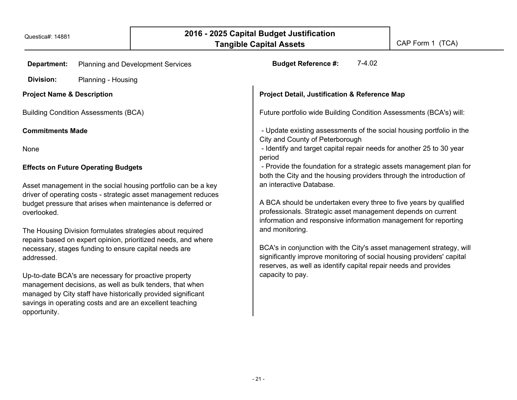| <b>Department:</b>                                                      | <b>Planning and Development Services</b>                                                                                                                                                                                                                                                                                                                                                                                                                                                                                                                                   | <b>Budget Reference #:</b>                                                | $7 - 4.02$                                                                                                                                                                                                                                                                                                                                                                                                                                                                                                                                                             |
|-------------------------------------------------------------------------|----------------------------------------------------------------------------------------------------------------------------------------------------------------------------------------------------------------------------------------------------------------------------------------------------------------------------------------------------------------------------------------------------------------------------------------------------------------------------------------------------------------------------------------------------------------------------|---------------------------------------------------------------------------|------------------------------------------------------------------------------------------------------------------------------------------------------------------------------------------------------------------------------------------------------------------------------------------------------------------------------------------------------------------------------------------------------------------------------------------------------------------------------------------------------------------------------------------------------------------------|
| Division:                                                               | Planning - Housing                                                                                                                                                                                                                                                                                                                                                                                                                                                                                                                                                         |                                                                           |                                                                                                                                                                                                                                                                                                                                                                                                                                                                                                                                                                        |
| <b>Project Name &amp; Description</b>                                   |                                                                                                                                                                                                                                                                                                                                                                                                                                                                                                                                                                            | <b>Project Detail, Justification &amp; Reference Map</b>                  |                                                                                                                                                                                                                                                                                                                                                                                                                                                                                                                                                                        |
| <b>Building Condition Assessments (BCA)</b>                             |                                                                                                                                                                                                                                                                                                                                                                                                                                                                                                                                                                            |                                                                           | Future portfolio wide Building Condition Assessments (BCA's) will:                                                                                                                                                                                                                                                                                                                                                                                                                                                                                                     |
| <b>Commitments Made</b><br>None                                         |                                                                                                                                                                                                                                                                                                                                                                                                                                                                                                                                                                            | City and County of Peterborough                                           | - Update existing assessments of the social housing portfolio in the<br>- Identify and target capital repair needs for another 25 to 30 year                                                                                                                                                                                                                                                                                                                                                                                                                           |
| <b>Effects on Future Operating Budgets</b><br>overlooked.<br>addressed. | Asset management in the social housing portfolio can be a key<br>driver of operating costs - strategic asset management reduces<br>budget pressure that arises when maintenance is deferred or<br>The Housing Division formulates strategies about required<br>repairs based on expert opinion, prioritized needs, and where<br>necessary, stages funding to ensure capital needs are<br>Up-to-date BCA's are necessary for proactive property<br>management decisions, as well as bulk tenders, that when<br>managed by City staff have historically provided significant | period<br>an interactive Database.<br>and monitoring.<br>capacity to pay. | - Provide the foundation for a strategic assets management plan for<br>both the City and the housing providers through the introduction of<br>A BCA should be undertaken every three to five years by qualified<br>professionals. Strategic asset management depends on current<br>information and responsive information management for reporting<br>BCA's in conjunction with the City's asset management strategy, will<br>significantly improve monitoring of social housing providers' capital<br>reserves, as well as identify capital repair needs and provides |
| opportunity.                                                            | savings in operating costs and are an excellent teaching                                                                                                                                                                                                                                                                                                                                                                                                                                                                                                                   |                                                                           |                                                                                                                                                                                                                                                                                                                                                                                                                                                                                                                                                                        |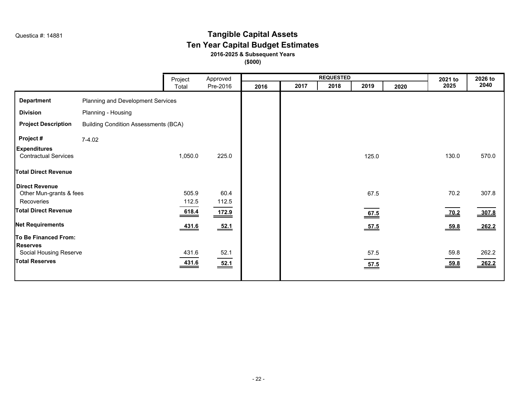## **Tangible Capital Assets Ten Year Capital Budget Estimates 2016-2025 & Subsequent Years**

|                                                                                                                          |                                             | Project                                                    | Approved                                   |      |      | <b>REQUESTED</b> |                                                              |      | 2021 to                               | 2026 to                                         |
|--------------------------------------------------------------------------------------------------------------------------|---------------------------------------------|------------------------------------------------------------|--------------------------------------------|------|------|------------------|--------------------------------------------------------------|------|---------------------------------------|-------------------------------------------------|
|                                                                                                                          |                                             | Total                                                      | Pre-2016                                   | 2016 | 2017 | 2018             | 2019                                                         | 2020 | 2025                                  | 2040                                            |
| <b>Department</b>                                                                                                        | Planning and Development Services           |                                                            |                                            |      |      |                  |                                                              |      |                                       |                                                 |
| <b>Division</b>                                                                                                          | Planning - Housing                          |                                                            |                                            |      |      |                  |                                                              |      |                                       |                                                 |
| <b>Project Description</b>                                                                                               | <b>Building Condition Assessments (BCA)</b> |                                                            |                                            |      |      |                  |                                                              |      |                                       |                                                 |
| Project#                                                                                                                 | $7 - 4.02$                                  |                                                            |                                            |      |      |                  |                                                              |      |                                       |                                                 |
| <b>Expenditures</b><br><b>Contractual Services</b>                                                                       |                                             | 1,050.0                                                    | 225.0                                      |      |      |                  | 125.0                                                        |      | 130.0                                 | 570.0                                           |
| <b>Total Direct Revenue</b>                                                                                              |                                             |                                                            |                                            |      |      |                  |                                                              |      |                                       |                                                 |
| <b>Direct Revenue</b><br>Other Mun-grants & fees<br>Recoveries<br><b>Total Direct Revenue</b><br><b>Net Requirements</b> |                                             | 505.9<br>112.5<br>$\underline{618.4}$<br>$\frac{431.6}{2}$ | 60.4<br>112.5<br>172.9<br>$\frac{52.1}{2}$ |      |      |                  | 67.5<br>$\underline{67.5}$<br>$\underline{\underline{57.5}}$ |      | 70.2<br>$-70.2$<br>$\underline{59.8}$ | 307.8<br>$\frac{307.8}{2}$<br>$\frac{262.2}{2}$ |
| To Be Financed From:<br><b>Reserves</b>                                                                                  |                                             |                                                            |                                            |      |      |                  |                                                              |      |                                       |                                                 |
| Social Housing Reserve                                                                                                   |                                             | 431.6                                                      | 52.1                                       |      |      |                  | 57.5                                                         |      | 59.8                                  | 262.2                                           |
| <b>Total Reserves</b>                                                                                                    |                                             | $\frac{431.6}{2}$                                          |                                            |      |      |                  | $\underline{\underline{57.5}}$                               |      | $\underline{59.8}$                    | 262.2                                           |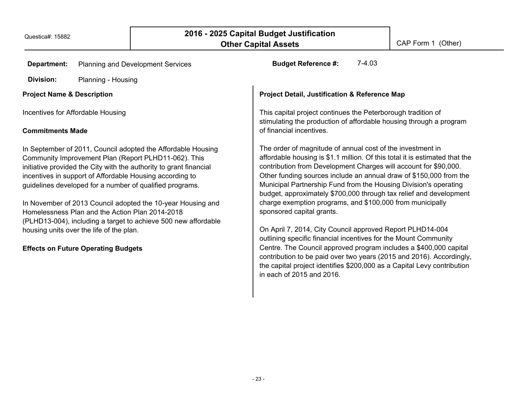| Department:                           | <b>Planning and Development Services</b>                                                                                                                                                                                                                                                                                                                                          | $7-4.03$<br><b>Budget Reference #:</b>                                                                                                                                                                                                                                                                                                                                                                                                                                                     |
|---------------------------------------|-----------------------------------------------------------------------------------------------------------------------------------------------------------------------------------------------------------------------------------------------------------------------------------------------------------------------------------------------------------------------------------|--------------------------------------------------------------------------------------------------------------------------------------------------------------------------------------------------------------------------------------------------------------------------------------------------------------------------------------------------------------------------------------------------------------------------------------------------------------------------------------------|
| Division:                             | Planning - Housing                                                                                                                                                                                                                                                                                                                                                                |                                                                                                                                                                                                                                                                                                                                                                                                                                                                                            |
| <b>Project Name &amp; Description</b> |                                                                                                                                                                                                                                                                                                                                                                                   | <b>Project Detail, Justification &amp; Reference Map</b>                                                                                                                                                                                                                                                                                                                                                                                                                                   |
|                                       | Incentives for Affordable Housing                                                                                                                                                                                                                                                                                                                                                 | This capital project continues the Peterborough tradition of<br>stimulating the production of affordable housing through a program                                                                                                                                                                                                                                                                                                                                                         |
| <b>Commitments Made</b>               |                                                                                                                                                                                                                                                                                                                                                                                   | of financial incentives.                                                                                                                                                                                                                                                                                                                                                                                                                                                                   |
|                                       | In September of 2011, Council adopted the Affordable Housing<br>Community Improvement Plan (Report PLHD11-062). This<br>initiative provided the City with the authority to grant financial<br>incentives in support of Affordable Housing according to<br>guidelines developed for a number of qualified programs.<br>In November of 2013 Council adopted the 10-year Housing and | The order of magnitude of annual cost of the investment in<br>affordable housing is \$1.1 million. Of this total it is estimated that the<br>contribution from Development Charges will account for \$90,000.<br>Other funding sources include an annual draw of \$150,000 from the<br>Municipal Partnership Fund from the Housing Division's operating<br>budget, approximately \$700,000 through tax relief and development<br>charge exemption programs, and \$100,000 from municipally |
|                                       | Homelessness Plan and the Action Plan 2014-2018                                                                                                                                                                                                                                                                                                                                   | sponsored capital grants.                                                                                                                                                                                                                                                                                                                                                                                                                                                                  |
|                                       | (PLHD13-004), including a target to achieve 500 new affordable                                                                                                                                                                                                                                                                                                                    |                                                                                                                                                                                                                                                                                                                                                                                                                                                                                            |
|                                       | housing units over the life of the plan.                                                                                                                                                                                                                                                                                                                                          | On April 7, 2014, City Council approved Report PLHD14-004<br>outlining specific financial incentives for the Mount Community                                                                                                                                                                                                                                                                                                                                                               |
|                                       | <b>Effects on Future Operating Budgets</b>                                                                                                                                                                                                                                                                                                                                        | Centre. The Council approved program includes a \$400,000 capital<br>contribution to be paid over two years (2015 and 2016). Accordingly,<br>the capital project identifies \$200,000 as a Capital Levy contribution<br>in each of 2015 and 2016.                                                                                                                                                                                                                                          |